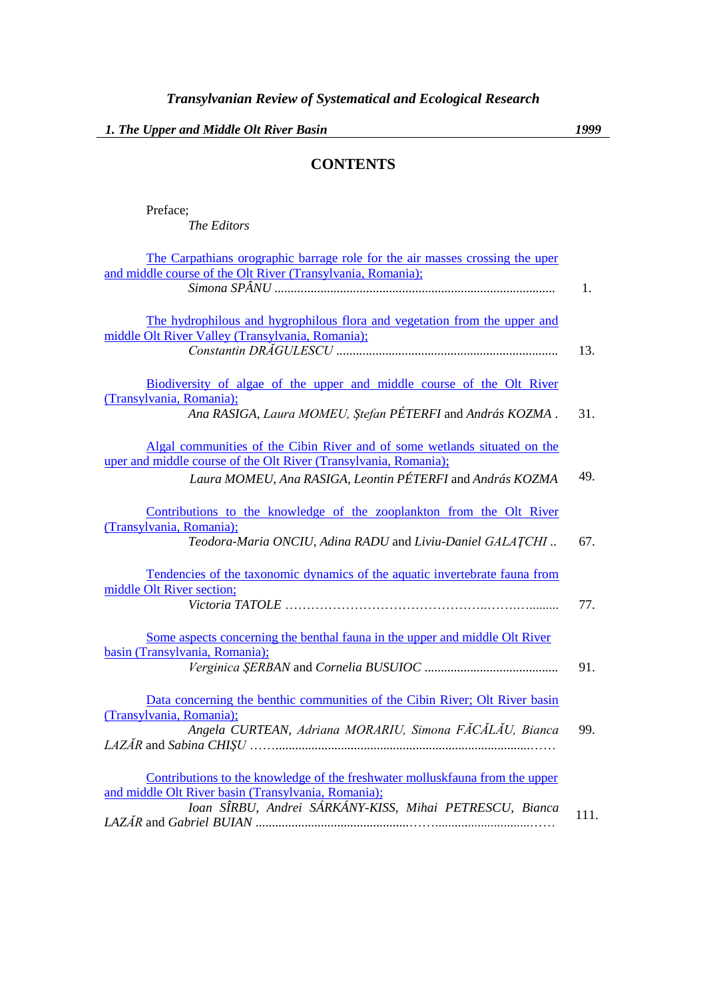## **CONTENTS**

Preface;

*The Editors*

| The Carpathians orographic barrage role for the air masses crossing the uper |      |
|------------------------------------------------------------------------------|------|
| and middle course of the Olt River (Transylvania, Romania);                  |      |
|                                                                              | 1.   |
|                                                                              |      |
|                                                                              |      |
| The hydrophilous and hygrophilous flora and vegetation from the upper and    |      |
| middle Olt River Valley (Transylvania, Romania);                             |      |
|                                                                              | 13.  |
|                                                                              |      |
| Biodiversity of algae of the upper and middle course of the Olt River        |      |
| (Transylvania, Romania);                                                     |      |
| Ana RASIGA, Laura MOMEU, Ștefan PÉTERFI and András KOZMA.                    | 31.  |
|                                                                              |      |
|                                                                              |      |
| Algal communities of the Cibin River and of some wetlands situated on the    |      |
| uper and middle course of the Olt River (Transylvania, Romania);             |      |
| Laura MOMEU, Ana RASIGA, Leontin PÉTERFI and András KOZMA                    | 49.  |
|                                                                              |      |
|                                                                              |      |
| Contributions to the knowledge of the zooplankton from the Olt River         |      |
| (Transylvania, Romania);                                                     |      |
| Teodora-Maria ONCIU, Adina RADU and Liviu-Daniel GALATCHI                    | 67.  |
|                                                                              |      |
|                                                                              |      |
| Tendencies of the taxonomic dynamics of the aquatic invertebrate fauna from  |      |
| middle Olt River section;                                                    |      |
|                                                                              | 77.  |
|                                                                              |      |
| Some aspects concerning the benthal fauna in the upper and middle Olt River  |      |
| basin (Transylvania, Romania);                                               |      |
|                                                                              |      |
|                                                                              | 91.  |
|                                                                              |      |
| Data concerning the benthic communities of the Cibin River; Olt River basin  |      |
| (Transylvania, Romania);                                                     |      |
| Angela CURTEAN, Adriana MORARIU, Simona FĂCĂLĂU, Bianca                      | 99.  |
|                                                                              |      |
|                                                                              |      |
|                                                                              |      |
| Contributions to the knowledge of the freshwater molluskfauna from the upper |      |
| and middle Olt River basin (Transylvania, Romania);                          |      |
| Ioan SÎRBU, Andrei SÁRKÁNY-KISS, Mihai PETRESCU, Bianca                      |      |
|                                                                              | 111. |